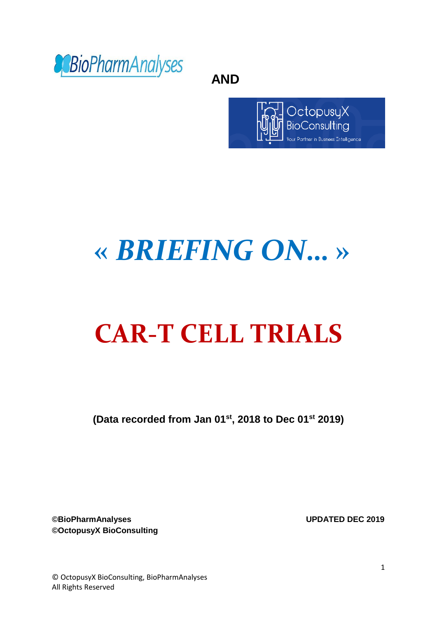

 **AND**



# **«** *BRIEFING ON***… »**

# **CAR-T CELL TRIALS**

**(Data recorded from Jan 01st, 2018 to Dec 01st 2019)**

**©BioPharmAnalyses UPDATED DEC 2019 ©OctopusyX BioConsulting**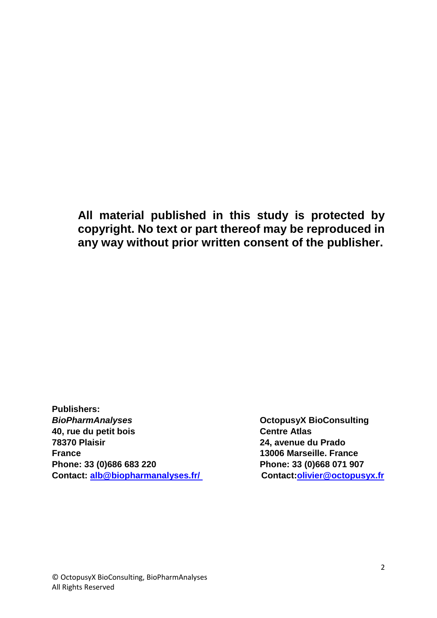**All material published in this study is protected by copyright. No text or part thereof may be reproduced in any way without prior written consent of the publisher.**

**Publishers: BioPharmAnalyses Discussed BioPharmAnalyses OctopusyX BioConsulting 40, rue du petit bois Centre Atlas 78370 Plaisir 24, avenue du Prado France 13006 Marseille. France Phone: 33 (0)686 683 220 Phone: 33 (0)668 071 907 Contact: [alb@biopharmanalyses.fr/](mailto:alb@biopharmanalyses.fr/) Contact[:olivier@octopusyx.fr](mailto:olivier@octopusyx.fr)**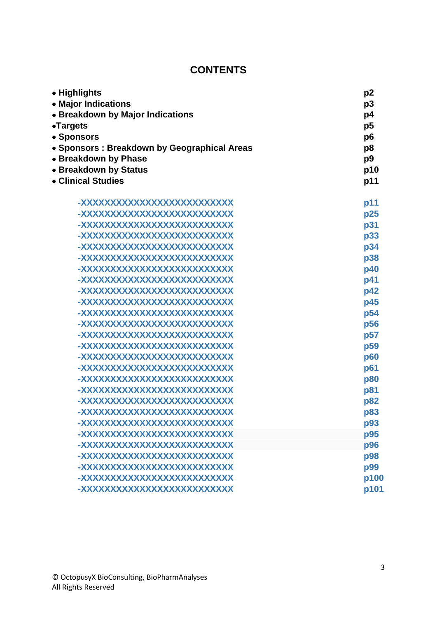## **CONTENTS**

| • Highlights<br>• Major Indications<br>• Breakdown by Major Indications<br>•Targets<br>• Sponsors<br>• Sponsors: Breakdown by Geographical Areas<br>• Breakdown by Phase<br>• Breakdown by Status | p <sub>2</sub>                         |                                         |     |
|---------------------------------------------------------------------------------------------------------------------------------------------------------------------------------------------------|----------------------------------------|-----------------------------------------|-----|
|                                                                                                                                                                                                   | p <sub>3</sub><br>p4<br>p <sub>5</sub> |                                         |     |
|                                                                                                                                                                                                   |                                        | p6                                      |     |
|                                                                                                                                                                                                   |                                        | p <sub>8</sub><br>p <sub>9</sub><br>p10 |     |
|                                                                                                                                                                                                   | • Clinical Studies                     |                                         | p11 |
|                                                                                                                                                                                                   | <u>-XXXXXXXXXXXXXXXXXXXXXXXXX</u>      |                                         | p11 |
|                                                                                                                                                                                                   | -XXXXXXXXXXXXXXXXXXXXXXXXX             | p25                                     |     |
|                                                                                                                                                                                                   | <u>-XXXXXXXXXXXXXXXXXXXXXXXXX</u>      | p31                                     |     |
| <u>-XXXXXXXXXXXXXXXXXXXXXXXX</u>                                                                                                                                                                  | p33                                    |                                         |     |
| -XXXXXXXXXXXXXXXXXXXXXXXXXX                                                                                                                                                                       | p34                                    |                                         |     |
| <u>-XXXXXXXXXXXXXXXXXXXXXXXXX</u>                                                                                                                                                                 | p38                                    |                                         |     |
| <u>-XXXXXXXXXXXXXXXXXXXXXXXXX</u>                                                                                                                                                                 | p40                                    |                                         |     |
| <u>-XXXXXXXXXXXXXXXXXXXXXXXX</u>                                                                                                                                                                  | p41                                    |                                         |     |
| -XXXXXXXXXXXXXXXXXXXXXXXXXX                                                                                                                                                                       | p42                                    |                                         |     |
| <u>-XXXXXXXXXXXXXXXXXXXXXXXXX</u>                                                                                                                                                                 | p45                                    |                                         |     |
| <u>-XXXXXXXXXXXXXXXXXXXXXXXXX</u>                                                                                                                                                                 | p54                                    |                                         |     |
| <u>-XXXXXXXXXXXXXXXXXXXXXXXXX</u>                                                                                                                                                                 | p56                                    |                                         |     |
| <u>-XXXXXXXXXXXXXXXXXXXXXXXXX</u>                                                                                                                                                                 | p57                                    |                                         |     |
| <u>-XXXXXXXXXXXXXXXXXXXXXXXXX</u>                                                                                                                                                                 | p <sub>59</sub>                        |                                         |     |
| <u>-XXXXXXXXXXXXXXXXXXXXXXXXX</u>                                                                                                                                                                 | p60                                    |                                         |     |
| <u>-XXXXXXXXXXXXXXXXXXXXXXXXX</u>                                                                                                                                                                 | p61                                    |                                         |     |
| <u>-XXXXXXXXXXXXXXXXXXXXXXXXX</u>                                                                                                                                                                 | p80                                    |                                         |     |
| <u>-XXXXXXXXXXXXXXXXXXXXXXXXX</u>                                                                                                                                                                 | p81                                    |                                         |     |
| <u>-XXXXXXXXXXXXXXXXXXXXXXXXX</u>                                                                                                                                                                 | p82                                    |                                         |     |
| -XXXXXXXXXXXXXXXXXXXXXXXXXX                                                                                                                                                                       | p83                                    |                                         |     |
| -XXXXXXXXXXXXXXXXXXXXXXXXXX                                                                                                                                                                       | p93                                    |                                         |     |
| <u>-XXXXXXXXXXXXXXXXXXXXXXXXX</u>                                                                                                                                                                 | p95                                    |                                         |     |
| <u>-XXXXXXXXXXXXXXXXXXXXXXXXXXX</u>                                                                                                                                                               | p96                                    |                                         |     |
| <u>-XXXXXXXXXXXXXXXXXXXXXXXXX</u>                                                                                                                                                                 | p98                                    |                                         |     |
| <u>-XXXXXXXXXXXXXXXXXXXXXXXXX</u>                                                                                                                                                                 | p99                                    |                                         |     |
| <u>-XXXXXXXXXXXXXXXXXXXXXXXXX</u>                                                                                                                                                                 | p100                                   |                                         |     |
| <u>-XXXXXXXXXXXXXXXXXXXXXXXXX</u>                                                                                                                                                                 | p101                                   |                                         |     |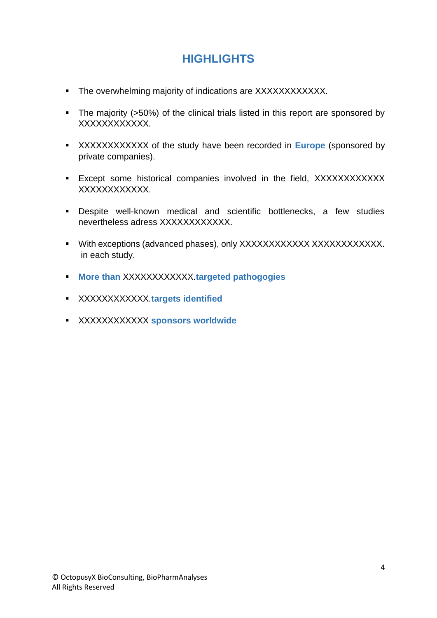# **HIGHLIGHTS**

- The overwhelming majority of indications are XXXXXXXXXXXX.
- The majority (>50%) of the clinical trials listed in this report are sponsored by XXXXXXXXXXXX.
- **XXXXXXXXXXXXX** of the study have been recorded in **Europe** (sponsored by private companies).
- **Except some historical companies involved in the field, XXXXXXXXXXXX** XXXXXXXXXXXX.
- Despite well-known medical and scientific bottlenecks, a few studies nevertheless adress XXXXXXXXXXXXX.
- With exceptions (advanced phases), only XXXXXXXXXXXX XXXXXXXXXXXXX. in each study.
- **More than** XXXXXXXXXXXX.**targeted pathogogies**
- XXXXXXXXXXXX.**targets identified**
- XXXXXXXXXXXX **sponsors worldwide**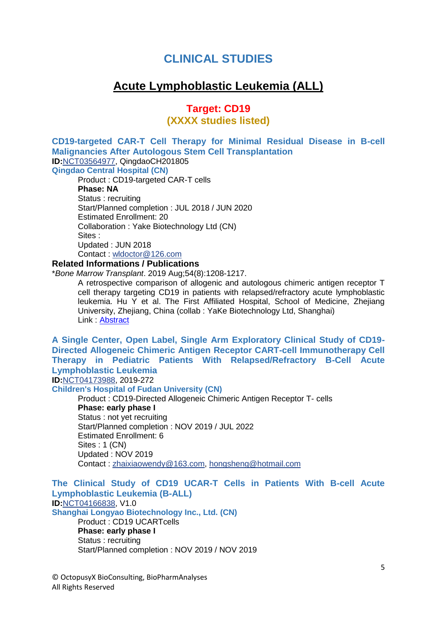## **CLINICAL STUDIES**

## **Acute Lymphoblastic Leukemia (ALL)**

### **Target: CD19 (XXXX studies listed)**

**CD19-targeted CAR-T Cell Therapy for Minimal Residual Disease in B-cell Malignancies After Autologous Stem Cell Transplantation ID:**[NCT03564977,](https://clinicaltrials.gov/show/NCT03564977) QingdaoCH201805 **Qingdao Central Hospital (CN)**

Product : CD19-targeted CAR-T cells **Phase: NA** Status : recruiting Start/Planned completion : JUL 2018 / JUN 2020 Estimated Enrollment: 20 Collaboration : Yake Biotechnology Ltd (CN) Sites : Updated : JUN 2018 Contact : [wldoctor@126.com](mailto:wldoctor%40126.com?subject=NCT03564977,%20QingdaoCH201805,%20CD19-targeted%20CAR-T%20Cell%20Therapy%20for%20MRD+%20B-cell%20Malignancies%20After%20Autologous%20Stem%20Cell%20Transplantation)

#### **Related Informations / Publications**

\**Bone Marrow Transplant*. 2019 Aug;54(8):1208-1217.

A retrospective comparison of allogenic and autologous chimeric antigen receptor T cell therapy targeting CD19 in patients with relapsed/refractory acute lymphoblastic leukemia. Hu Y et al. The First Affiliated Hospital, School of Medicine, Zhejiang University, Zhejiang, China (collab : YaKe Biotechnology Ltd, Shanghai) Link : [Abstract](https://www.ncbi.nlm.nih.gov/pubmed/30518980)

**A Single Center, Open Label, Single Arm Exploratory Clinical Study of CD19- Directed Allogeneic Chimeric Antigen Receptor CART-cell Immunotherapy Cell Therapy in Pediatric Patients With Relapsed/Refractory B-Cell Acute Lymphoblastic Leukemia**

**ID:**[NCT04173988,](https://clinicaltrials.gov/show/NCT04173988) 2019-272

**Children's Hospital of Fudan University (CN)**

Product : CD19-Directed Allogeneic Chimeric Antigen Receptor T- cells **Phase: early phase I** Status : not yet recruiting Start/Planned completion : NOV 2019 / JUL 2022 Estimated Enrollment: 6 Sites : 1 (CN) Updated : NOV 2019 Contact : [zhaixiaowendy@163.com,](mailto:zhaixiaowendy%40163.com?subject=NCT04173988,%202019-272,%20Study%20of%20alloCART-19%20Cell%20Therapy%20in%20Pediatric%20Patients%20With%20Relapsed/Refractory%20B-Cell%20Acute%20Lymphoblastic%20Leukemia) [hongsheng@hotmail.com](mailto:hongsheng%40hotmail.com?subject=NCT04173988,%202019-272,%20Study%20of%20alloCART-19%20Cell%20Therapy%20in%20Pediatric%20Patients%20With%20Relapsed/Refractory%20B-Cell%20Acute%20Lymphoblastic%20Leukemia)

#### **The Clinical Study of CD19 UCAR-T Cells in Patients With B-cell Acute Lymphoblastic Leukemia (B-ALL)**

**ID:**[NCT04166838,](https://clinicaltrials.gov/show/NCT04166838) V1.0

**Shanghai Longyao Biotechnology Inc., Ltd. (CN)** Product : CD19 UCARTcells

**Phase: early phase I** Status : recruiting Start/Planned completion : NOV 2019 / NOV 2019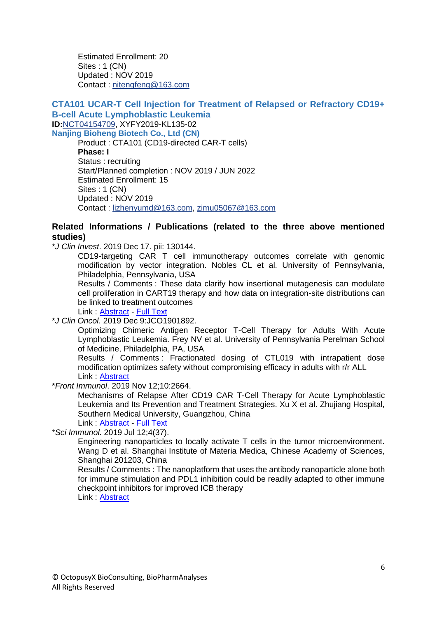Estimated Enrollment: 20 Sites : 1 (CN) Updated : NOV 2019 Contact : [nitengfeng@163.com](mailto:nitengfeng%40163.com?subject=NCT04166838,%20V1.0,%20The%20Clinical%20Study%20of%20CD19%20UCAR-T%20Cells%20in%20Patients%20With%20B-cell%20Acute%20Lymphoblastic%20Leukemia%20(B-ALL))

#### **CTA101 UCAR-T Cell Injection for Treatment of Relapsed or Refractory CD19+ B-cell Acute Lymphoblastic Leukemia ID:**[NCT04154709,](https://clinicaltrials.gov/show/NCT04154709) XYFY2019-KL135-02 **Nanjing Bioheng Biotech Co., Ltd (CN)**

Product : CTA101 (CD19-directed CAR-T cells) **Phase: I** Status : recruiting Start/Planned completion : NOV 2019 / JUN 2022 Estimated Enrollment: 15 Sites : 1 (CN) Updated : NOV 2019 Contact : [lizhenyumd@163.com,](mailto:lizhenyumd%40163.com?subject=NCT04154709,%20XYFY2019-KL135-02,%20CTA101%20UCAR-T%20Cell%20Injection%20for%20Treatment%20of%20Relapsed%20or%20Refractory%20CD19+%20B-cell%20Acute%20Lymphoblastic%20Leukemia) [zimu05067@163.com](mailto:zimu05067%40163.com?subject=NCT04154709,%20XYFY2019-KL135-02,%20CTA101%20UCAR-T%20Cell%20Injection%20for%20Treatment%20of%20Relapsed%20or%20Refractory%20CD19+%20B-cell%20Acute%20Lymphoblastic%20Leukemia)

#### **Related Informations / Publications (related to the three above mentioned studies)**

\**J Clin Invest*. 2019 Dec 17. pii: 130144.

CD19-targeting CAR T cell immunotherapy outcomes correlate with genomic modification by vector integration. Nobles CL et al. University of Pennsylvania, Philadelphia, Pennsylvania, USA

Results / Comments : These data clarify how insertional mutagenesis can modulate cell proliferation in CART19 therapy and how data on integration-site distributions can be linked to treatment outcomes

Link : [Abstract](https://www.ncbi.nlm.nih.gov/pubmed/31845905) - [Full Text](https://www.jci.org/articles/view/130144)

\**J Clin Oncol*. 2019 Dec 9:JCO1901892.

Optimizing Chimeric Antigen Receptor T-Cell Therapy for Adults With Acute Lymphoblastic Leukemia. Frey NV et al. University of Pennsylvania Perelman School of Medicine, Philadelphia, PA, USA

Results / Comments : Fractionated dosing of CTL019 with intrapatient dose modification optimizes safety without compromising efficacy in adults with r/r ALL Link : [Abstract](https://www.ncbi.nlm.nih.gov/pubmed/31815579)

\**Front Immunol*. 2019 Nov 12;10:2664.

Mechanisms of Relapse After CD19 CAR T-Cell Therapy for Acute Lymphoblastic Leukemia and Its Prevention and Treatment Strategies. Xu X et al. Zhujiang Hospital, Southern Medical University, Guangzhou, China

Link : [Abstract](https://www.ncbi.nlm.nih.gov/pubmed/31798590) - [Full Text](https://www.ncbi.nlm.nih.gov/pmc/articles/PMC6863137/)

\**Sci Immunol*. 2019 Jul 12;4(37).

Engineering nanoparticles to locally activate T cells in the tumor microenvironment. Wang D et al. Shanghai Institute of Materia Medica, Chinese Academy of Sciences, Shanghai 201203, China

Results / Comments : The nanoplatform that uses the antibody nanoparticle alone both for immune stimulation and PDL1 inhibition could be readily adapted to other immune checkpoint inhibitors for improved ICB therapy

Link : [Abstract](https://www.ncbi.nlm.nih.gov/pubmed/31300478)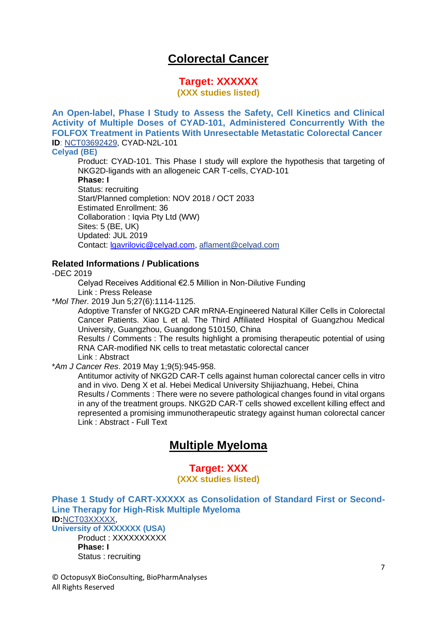## **Colorectal Cancer**

## **Target: XXXXXX**

**(XXX studies listed)**

**An Open-label, Phase I Study to Assess the Safety, Cell Kinetics and Clinical Activity of Multiple Doses of CYAD-101, Administered Concurrently With the FOLFOX Treatment in Patients With Unresectable Metastatic Colorectal Cancer ID**: [NCT03692429,](https://clinicaltrials.gov/show/NCT03692429) CYAD-N2L-101

#### **Celyad (BE)**

Product: CYAD-101. This Phase I study will explore the hypothesis that targeting of NKG2D-ligands with an allogeneic CAR T-cells, CYAD-101

**Phase: I**

Status: recruiting Start/Planned completion: NOV 2018 / OCT 2033 Estimated Enrollment: 36 Collaboration : Iqvia Pty Ltd (WW) Sites: 5 (BE, UK) Updated: JUL 2019 Contact: [lgavrilovic@celyad.com,](mailto:lgavrilovic@celyad.com) [aflament@celyad.com](mailto:aflament%40celyad.com?subject=NCT03692429,%20CYAD-N2L-101,%20alloSHRINK%20-%20Standard%20cHemotherapy%20Regimen%20and%20Immunotherapy%20With%20Allogeneic%20NKG2D-based%20CYAD-101%20Chimeric%20Antigen%20Receptor%20T-cells)

#### **Related Informations / Publications**

-DEC 2019

Celyad Receives Additional €2.5 Million in Non-Dilutive Funding Link : Press Release

\**Mol Ther.* 2019 Jun 5;27(6):1114-1125.

Adoptive Transfer of NKG2D CAR mRNA-Engineered Natural Killer Cells in Colorectal Cancer Patients. Xiao L et al. The Third Affiliated Hospital of Guangzhou Medical University, Guangzhou, Guangdong 510150, China

Results / Comments : The results highlight a promising therapeutic potential of using RNA CAR-modified NK cells to treat metastatic colorectal cancer

Link : Abstract

\**Am J Cancer Res*. 2019 May 1;9(5):945-958.

Antitumor activity of NKG2D CAR-T cells against human colorectal cancer cells in vitro and in vivo. Deng X et al. Hebei Medical University Shijiazhuang, Hebei, China Results / Comments : There were no severe pathological changes found in vital organs in any of the treatment groups. NKG2D CAR-T cells showed excellent killing effect and represented a promising immunotherapeutic strategy against human colorectal cancer Link : Abstract - Full Text

## **Multiple Myeloma**

### **Target: XXX (XXX studies listed)**

**Phase 1 Study of CART-XXXXX as Consolidation of Standard First or Second-Line Therapy for High-Risk Multiple Myeloma ID:**[NCT03XXXXX,](https://clinicaltrials.gov/show/NCT03549442) **University of XXXXXXX (USA)**

Product : XXXXXXXXX **Phase: I** Status : recruiting

© OctopusyX BioConsulting, BioPharmAnalyses All Rights Reserved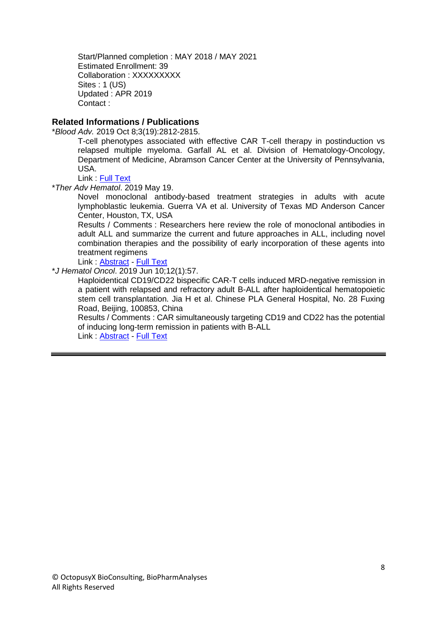Start/Planned completion : MAY 2018 / MAY 2021 Estimated Enrollment: 39 Collaboration : XXXXXXXXX Sites : 1 (US) Updated : APR 2019 Contact :

#### **Related Informations / Publications**

\**Blood Adv.* 2019 Oct 8;3(19):2812-2815.

T-cell phenotypes associated with effective CAR T-cell therapy in postinduction vs relapsed multiple myeloma. Garfall AL et al. Division of Hematology-Oncology, Department of Medicine, Abramson Cancer Center at the University of Pennsylvania, USA.

Link : [Full Text](https://ashpublications.org/bloodadvances/article/3/19/2812/375037/Tcell-phenotypes-associated-with-effective-CAR)

\**Ther Adv Hematol*. 2019 May 19.

Novel monoclonal antibody-based treatment strategies in adults with acute lymphoblastic leukemia. Guerra VA et al. University of Texas MD Anderson Cancer Center, Houston, TX, USA

Results / Comments : Researchers here review the role of monoclonal antibodies in adult ALL and summarize the current and future approaches in ALL, including novel combination therapies and the possibility of early incorporation of these agents into treatment regimens

Link : [Abstract](https://www.ncbi.nlm.nih.gov/pubmed/31205644) - [Full Text](https://www.ncbi.nlm.nih.gov/pmc/articles/PMC6535741/)

\**J Hematol Oncol*. 2019 Jun 10;12(1):57.

Haploidentical CD19/CD22 bispecific CAR-T cells induced MRD-negative remission in a patient with relapsed and refractory adult B-ALL after haploidentical hematopoietic stem cell transplantation. Jia H et al. Chinese PLA General Hospital, No. 28 Fuxing Road, Beijing, 100853, China

Results / Comments : CAR simultaneously targeting CD19 and CD22 has the potential of inducing long-term remission in patients with B-ALL

Link : [Abstract](https://www.ncbi.nlm.nih.gov/pubmed/31182121) - [Full Text](https://www.ncbi.nlm.nih.gov/pmc/articles/PMC6558895/)